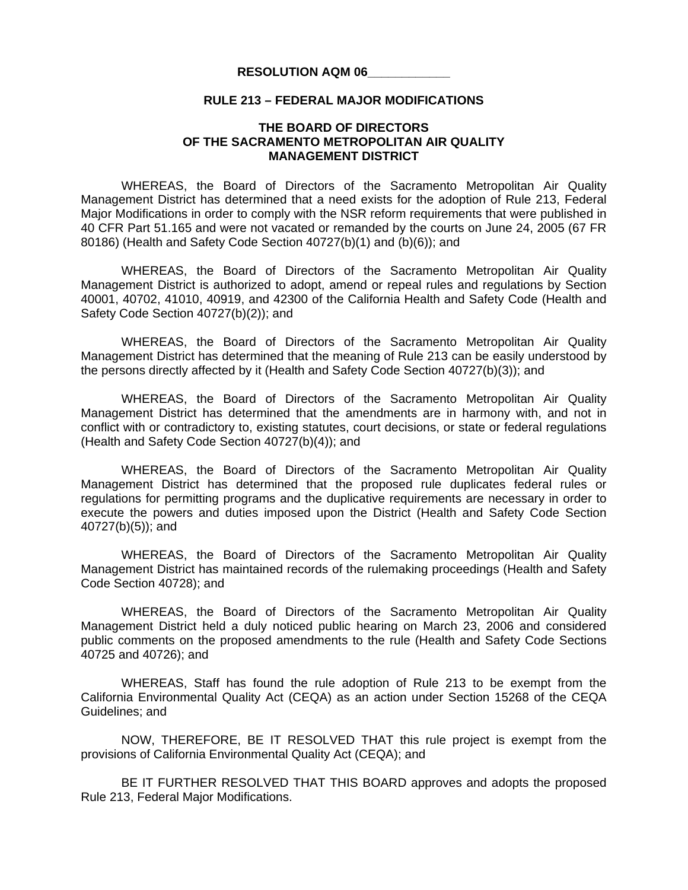## **RESOLUTION AQM 06\_\_\_\_\_\_\_\_\_\_\_\_**

## **RULE 213 – FEDERAL MAJOR MODIFICATIONS**

## **THE BOARD OF DIRECTORS OF THE SACRAMENTO METROPOLITAN AIR QUALITY MANAGEMENT DISTRICT**

 WHEREAS, the Board of Directors of the Sacramento Metropolitan Air Quality Management District has determined that a need exists for the adoption of Rule 213, Federal Major Modifications in order to comply with the NSR reform requirements that were published in 40 CFR Part 51.165 and were not vacated or remanded by the courts on June 24, 2005 (67 FR 80186) (Health and Safety Code Section 40727(b)(1) and (b)(6)); and

 WHEREAS, the Board of Directors of the Sacramento Metropolitan Air Quality Management District is authorized to adopt, amend or repeal rules and regulations by Section 40001, 40702, 41010, 40919, and 42300 of the California Health and Safety Code (Health and Safety Code Section 40727(b)(2)); and

 WHEREAS, the Board of Directors of the Sacramento Metropolitan Air Quality Management District has determined that the meaning of Rule 213 can be easily understood by the persons directly affected by it (Health and Safety Code Section 40727(b)(3)); and

 WHEREAS, the Board of Directors of the Sacramento Metropolitan Air Quality Management District has determined that the amendments are in harmony with, and not in conflict with or contradictory to, existing statutes, court decisions, or state or federal regulations (Health and Safety Code Section 40727(b)(4)); and

 WHEREAS, the Board of Directors of the Sacramento Metropolitan Air Quality Management District has determined that the proposed rule duplicates federal rules or regulations for permitting programs and the duplicative requirements are necessary in order to execute the powers and duties imposed upon the District (Health and Safety Code Section 40727(b)(5)); and

 WHEREAS, the Board of Directors of the Sacramento Metropolitan Air Quality Management District has maintained records of the rulemaking proceedings (Health and Safety Code Section 40728); and

 WHEREAS, the Board of Directors of the Sacramento Metropolitan Air Quality Management District held a duly noticed public hearing on March 23, 2006 and considered public comments on the proposed amendments to the rule (Health and Safety Code Sections 40725 and 40726); and

 WHEREAS, Staff has found the rule adoption of Rule 213 to be exempt from the California Environmental Quality Act (CEQA) as an action under Section 15268 of the CEQA Guidelines; and

 NOW, THEREFORE, BE IT RESOLVED THAT this rule project is exempt from the provisions of California Environmental Quality Act (CEQA); and

 BE IT FURTHER RESOLVED THAT THIS BOARD approves and adopts the proposed Rule 213, Federal Major Modifications.